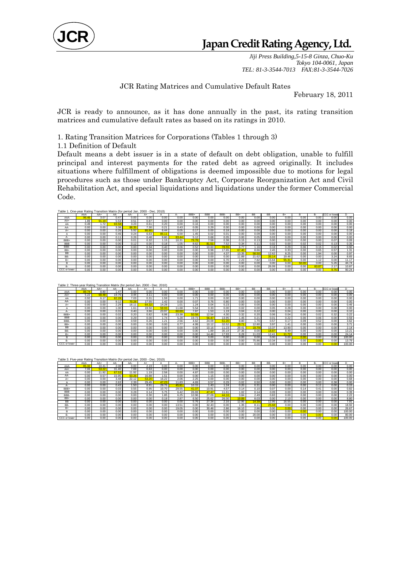

*Jiji Press Building,5-15-8 Ginza, Chuo-Ku Tokyo 104-0061, Japan TEL: 81-3-3544-7013 FAX:81-3-3544-7026* 

### JCR Rating Matrices and Cumulative Default Rates

February 18, 2011

JCR is ready to announce, as it has done annually in the past, its rating transition matrices and cumulative default rates as based on its ratings in 2010.

1. Rating Transition Matrices for Corporations (Tables 1 through 3)

1.1 Definition of Default

Default means a debt issuer is in a state of default on debt obligation, unable to fulfill principal and interest payments for the rated debt as agreed originally. It includes situations where fulfillment of obligations is deemed impossible due to motions for legal procedures such as those under Bankruptcy Act, Corporate Reorganization Act and Civil Rehabilitation Act, and special liquidations and liquidations under the former Commercial Code.

| Table 1. One-year Rating Transition Matrix (for period Jan. 2000 - Dec. 2010) |       |       |       |       |       |       |       |       |            |       |       |           |       |                   |       |           |              |       |
|-------------------------------------------------------------------------------|-------|-------|-------|-------|-------|-------|-------|-------|------------|-------|-------|-----------|-------|-------------------|-------|-----------|--------------|-------|
|                                                                               | AAA   | AA+   | AA    | AA-   | A+    |       | д.    | BBB+  | <b>BBB</b> | BBB-  | $BB+$ | <b>BB</b> | BB-   | $B+$              | R     | <b>B-</b> | CCC or lower | D.    |
| AAA                                                                           | 96.46 | 3.07  | 0.47  | 0.00  | 0.00  | 0.00  | 0.00  | 0.00  | 0.00       | 0.00  | 0.00  | 0.00      | 0.00  | 0.00              | 0.00  | 0.00      | 0.00         | 0.00  |
| AA+                                                                           | .89   | 91.19 | 5.53  | 0.51  | 0.87  | 0.00  | 0.00  | 0.00  | 0.00       | 0.00  | 0.00  | 0.00      | 0.00  | 0.00              | 0.00  | 0.00      | 0.00         | 0.00  |
| ΑА                                                                            | 0.49  | 1.72  | 93.58 | 3.23  | 0.61  | 0.20  | 0.00  | 0.16  | 0.00       | 0.00  | 0.00  | 0.00      | 0.00  | 0.00              | 0.00  | 0.00      | 0.00         | 0.00  |
| AA-                                                                           | 0.00  | 0.00  | 3.38  | 88.35 | 7.30  | 0.21  | 0.43  | 0.05  | 0.29       | 0.00  | 0.00  | 0.00      | 0.00  | 0.00              | 0.00  | 0.00      | 0.00         | 0.00  |
| A+                                                                            | 0.00  | 0.00  | 0.26  | 5.92  | 86.80 | 6.44  | 0.05  | 0.17  | 0.00       | 0.18  | 0.00  | 0.00      | 0.00  | 0.00              | 0.00  | 0.00      | 0.00         | 0.18  |
| А                                                                             | 0.00  | 0.00  | 0.46  | 0.24  | 6.63  | 85.11 | 6.00  | .45   | 0.02       | 0.01  | 0.00  | 0.09      | 0.00  | 0.00              | 0.00  | 0.00      | 0.00         | 0.00  |
|                                                                               | 0.00  | 0.00  | 0.11  | 0.26  | 0.48  | 9.80  | 83.44 | 5.12  | 0.68       | 0.05  | 0.00  | 0.05      | 0.03  | 0.00              | 0.00  | 0.00      | 0.00         | 0.00  |
| BBB+                                                                          | 0.00  | 0.00  | 0.00  | 0.01  | 0.32  | 1.15  | 10.31 | 79.78 | 7.58       | 0.38  | 0.15  | 0.13      | 0.00  | 0.03 <sub>1</sub> | 0.00  | 0.00      | 0.07         | 0.09  |
| <b>BBB</b>                                                                    | 0.00  | 0.00  | 0.00  | 0.12  | 0.00  | 0.18  | 1.05  | 8.62  | 81.51      | 7.52  | 0.34  | 0.11      | 0.02  | 0.00              | 0.02  | 0.02      | 0.13         | 0.35  |
| BBB-                                                                          | 0.00  | 0.00  | 0.00  | 0.00  | 0.34  | 0.40  | 0.06  | 0.52  | 10.60      | 78.55 | 6.77  | 1.16      | 0.18  | 0.29              | 0.06  | 0.15      | 0.02         | 0.90  |
| $BB+$                                                                         | 0.00  | 0.00  | 0.00  | 0.00  | 0.00  | 0.00  | 0.00  | 0.00  | 0.98       | 17.65 | 67.4  | 8.66      | 2.45  | 0.33              | 0.00  | 0.65      | 0.57         | 1.31  |
| BB                                                                            | 0.00  | 0.00  | 0.00  | 0.00  | 0.00  | 0.00  | 0.00  | 0.00  | 0.00       | 4.37  | 13.35 | 58.50     | 12.62 | 8.25              | 0.00  | 1.94      | 0.00         | 0.97  |
| BB-                                                                           | 0.00  | 0.00  | 0.00  | 0.00  | 0.00  | 0.00  | 0.00  | 0.00  | 0.00       | 0.00  | 11.89 | 21.62     | 35.14 | 19.46             | 0.00  | 0.00      | 3.24         | 8.65  |
| B+                                                                            | 0.00  | 0.00  | 0.00  | 0.00  | 0.00  | 0.00  | 0.00  | 0.00  | 0.00       | 6.70  | 2.23  | 7.82      | 15.64 | 55.3'             | 0.00  | 1.12      | 0.00         | 11.17 |
| B                                                                             | 0.00  | 0.00  | 0.00  | 0.00  | 0.00  | 0.00  | 0.00  | 0.00  | 0.00       | 0.00  | 0.00  | 0.00      | 0.00  | 0.00              | 50.00 | 0.00      | 5.26         | 44.74 |
| B-                                                                            | 0.00  | 0.00  | 0.00  | 0.00  | 0.00  | 0.00  | 0.00  | 0.00  | 0.00       | 0.00  | 0.00  | 0.00      | 26.09 | 0.00              | 0.00  | 60.87     | 2.17         | 10.87 |
| CCC or lower                                                                  | 0.00  | 0.00  | 0.00  | 0.00  | 0.00  | 0.00  | 0.00  | 0.00  | 0.00       | 0.00  | 0.00  | 0.00      | 0.00  | 0.00              | 0.00  | 0.00      | 9.76         | 90.24 |

| Table 2. Three-vear Rating Transition Matrix (for period Jan. 2000 - Dec. 2010) |       |       |       |       |       |       |       |       |            |       |       |           |       |       |      |      |              |        |
|---------------------------------------------------------------------------------|-------|-------|-------|-------|-------|-------|-------|-------|------------|-------|-------|-----------|-------|-------|------|------|--------------|--------|
|                                                                                 | AAA   | AA+   | AA    | AA-   | A+    |       | А-    | BBB+  | <b>BBB</b> | BBB-  | $BB+$ | <b>BB</b> | BB-   | $B+$  | B    | в.   | CCC or lower |        |
| AAA                                                                             | 89.74 | 8.80  | 1.47  | 0.00  | 0.00  | 0.00  | 0.00  | 0.00  | 0.00       | 0.00  | 0.00  | 0.00      | 0.00  | 0.00  | 0.00 | 0.00 | 0.00         | 0.00   |
| AA+                                                                             | 5.22  | 68.48 | 19.76 | 3.44  | 3.11  | 0.00  | 0.00  | 0.00  | 0.00       | 0.00  | 0.00  | 0.00      | 0.00  | 0.00  | 0.00 | 0.00 | 0.00         | 0.00   |
| AA                                                                              | 0.92  | 6.17  | 82.28 | 7.03  | 0.31  | 1.59  | 0.00  | 1.71  | 0.00       | 0.00  | 0.00  | 0.00      | 0.00  | 0.00  | 0.00 | 0.00 | 0.00         | 0.00   |
| AA-                                                                             | 0.00  | 0.00  | 9.12  | 70.28 | 17.55 | 1.42  | 0.00  | 0.07  | 0.76       | 0.80  | 0.00  | 0.00      | 0.00  | 0.00  | 0.00 | 0.00 | 0.00         | 0.00   |
| A+                                                                              | 0.00  | 0.00  | 2.29  | 16.11 | 64.32 | 14.28 | 1.01  | 1.24  | 0.04       | 0.23  | 0.00  | 0.00      | 0.00  | 0.00  | 0.00 | 0.00 | 0.00         | 0.46   |
|                                                                                 | 0.00  | 0.00  | 1.00  | 1.61  | 19.50 | 59.93 | 11.68 | 5.54  | 0.33       | 0.00  | 0.02  | 0.00      | 0.05  | 0.28  | 0.00 | 0.00 | 0.08         | 0.00   |
| А-                                                                              | 0.00  | 0.00  | 0.31  | 0.40  | 3.66  | 23.97 | 60.69 | 7.87  | 1.53       | 1.19  | 0.04  | 0.22      | 0.00  | 0.04  | 0.00 | 0.00 | 0.00         | 0.10   |
| BBB+                                                                            | 0.00  | 0.00  | 0.02  | 0.20  | 0.82  | 6.98  | 23.38 | 50.58 | 12.54      | 4.30  | 0.32  | 0.20      | 0.06  | 0.04  | 0.00 | 0.02 | 0.32         | 0.22   |
| <b>BBB</b>                                                                      | 0.00  | 0.00  | 0.00  | 0.29  | 0.00  | 1.74  | 5.28  | 19.73 | 56.47      | 13.95 | 1.45  | 0.21      | 0.01  | 0.22  | 0.00 | 0.06 | 0.00         | 0.59   |
| BBB-                                                                            | 0.00  | 0.00  | 0.00  | 0.59  | 0.26  | 1.21  | 2.56  | 4.62  | 24.09      | 51.20 | 8.80  | 1.70      | 0.57  | 0.17  | 0.09 | 0.52 | 0.00         | 3.62   |
| $BB+$                                                                           | 0.00  | 0.00  | 0.00  | 0.00  | 0.00  | 0.00  | 0.77  | 4.99  | 10.12      | 32.52 | 29.7  | 12.80     | 3.97  | 1.41  | 0.00 | 0.00 | 0.00         | 3.71   |
| <b>BB</b>                                                                       | 0.00  | 0.00  | 0.00  | 0.00  | 0.00  | 0.00  | 0.00  | 0.00  | 10.16      | 11.23 | 29.41 | 19.79     | 13.37 | 13.90 | 0.00 | 0.00 | 0.00         | 2.14   |
| BB-                                                                             | 0.00  | 0.00  | 0.00  | 0.00  | 0.00  | 0.00  | 0.00  | 0.00  | 1.89       | 30.19 | 27.36 | 0.00      | 18.87 | 8.49  | 0.00 | 0.00 | 0.00         | 13.21  |
| B+                                                                              | 0.00  | 0.00  | 0.00  | 0.00  | 0.00  | 0.00  | 0.00  | 0.00  | 14.48      | 17.93 | 8.28  | 11.03     | 12.41 | 11.72 | 0.00 | 0.00 | 0.00         | 24.14  |
| в                                                                               | 0.00  | 0.00  | 0.00  | 0.00  | 0.00  | 0.00  | 0.00  | 0.00  | 0.00       | 0.00  | 0.00  | 0.00      | 0.00  | 0.00  | 0.00 | 0.00 | 0.00         | 100.00 |
| B-                                                                              | 0.00  | 0.00  | 0.00  | 0.00  | 0.00  | 0.00  | 0.00  | 0.00  | 0.00       | 0.00  | 0.00  | 75.86     | 10.34 | 0.00  | 0.00 | 0.00 | 0.00         | 13.79  |
| CCC or lower                                                                    | 0.00  | 0.00  | 0.00  | 0.00  | 0.00  | 0.00  | 0.00  | 0.00  | 0.00       | 0.00  | 0.00  | 0.00      | 0.00  | 0.00  | 0.00 | 0.00 | 0.00         | 100.00 |

| Table 3. Five-year Rating Transition Matrix (for period Jan. 2000 - Dec. 2010) |       |       |       |       |       |       |       |       |                    |       |       |           |       |       |      |      |              |        |
|--------------------------------------------------------------------------------|-------|-------|-------|-------|-------|-------|-------|-------|--------------------|-------|-------|-----------|-------|-------|------|------|--------------|--------|
|                                                                                | AAA   | AA+   | AA    | AA-   | $A+$  |       | д.    | BBB+  | <b>BBB</b>         | BBB-  | BB+   | <b>BB</b> | BB-   | B+    | R    | в.   | CCC or lower |        |
| AAA                                                                            | 85.32 | 10.41 | 2.08  | 0.00  | 2.19  | 0.00  | 0.00  | 0.00  | 0.00               | 0.00  | 0.00  | 0.00      | 0.00  | 0.00  | 0.00 | 0.00 | 0.00         | 0.00   |
| AA+                                                                            | 7.06  | 53.22 | 31.40 | 7.69  | 0.63  | 0.00  | 0.00  | 0.00  | 0.00               | 0.00  | 0.00  | 0.00      | 0.00  | 0.00  | 0.00 | 0.00 | 0.00         | 0.00   |
| AA                                                                             | 0.00  | 11.92 | 67.53 | 11.92 | 1.19  | 2.58  | 0.00  | 4.87  | 0.00               | 0.00  | 0.00  | 0.00      | 0.00  | 0.00  | 0.00 | 0.00 | 0.00         | 0.00   |
| AA-                                                                            | 0.00  | 0.57  | 15.95 | 63.26 | 16.88 | 1.51  | 0.00  | 0.00  | $.15$ <sup>1</sup> | 0.68  | 0.00  | 0.00      | 0.00  | 0.00  | 0.00 | 0.00 | 0.00         | 0.00   |
| A+                                                                             | 0.00  | 0.00  | 3.48  | 22.12 | 53.20 | 16.22 | 2.06  | 2.25  | 0.00               | 0.00  | 0.00  | 0.00      | 0.00  | 0.00  | 0.00 | 0.00 | 0.00         | 0.68   |
| А                                                                              | 0.00  | 0.00  | 2.63  | 2.39  | 29.45 | 47.23 | 11.83 | 4.69  | 0.57               | 0.29  | 0.02  | 0.50      | 0.00  | 0.00  | 0.00 | 0.00 | 0.38         | 0.00   |
| А-                                                                             | 0.00  | 0.00  | 0.43  | 1.50  | 8.91  | 29.75 | 45.81 | 10.15 | 1.43               | .24   | 0.20  | 0.31      | 0.00  | 0.00  | 0.00 | 0.11 | 0.00         | 0.15   |
| BBB+                                                                           | 0.00  | 0.00  | 0.03  | 0.55  | 0.95  | 10.70 | 29.55 | 41.07 | 10.91              | 4.57  | 0.14  | 0.10      | 0.07  | 0.00  | 0.14 | 0.41 | 0.00         | 0.82   |
| <b>BBB</b>                                                                     | 0.00  | 0.00  | 0.00  | 0.28  | 0.14  | 5.75  | 6.42  | 26.69 | 47.47              | 11.61 | 1.02  | 0.14      | 0.09  | 0.00  | 0.00 | 0.00 | 0.00         | 0.39   |
| BBB-                                                                           | 0.00  | 0.00  | 0.00  | 0.00  | 0.30  | 1.85  | 6.25  | 10.96 | 27.09              | 44.16 | 3.84  | 2.49      | 0.83  | 0.00  | 0.00 | 0.00 | 0.00         | 2.22   |
| BB+                                                                            | 0.00  | 0.00  | 0.00  | 0.00  | 0.00  | 0.19  | 2.87  | 6.50  | 25.62              | 26.00 | 19.89 | 8.03      | 0.00  | 2.10  | 0.00 | 0.00 | 0.00         | 8.80   |
| <b>BB</b>                                                                      | 0.00  | 0.00  | 0.00  | 0.00  | 0.00  | 0.00  | 0.00  | 5.76  | 27.34              | 2.16  | 12.95 | 14.39     | 12.95 | 16.55 | 0.00 | 0.00 | 0.00         | 7.91   |
| BB-                                                                            | 0.00  | 0.00  | 0.00  | 0.00  | 0.00  | 0.00  | 13.51 | 0.00  | 32.43              | 0.00  | 1.35  | 8.11      | 25.68 | 0.00  | 0.00 | 0.00 | 0.00         | 18.92  |
| B+                                                                             | 0.00  | 0.00  | 0.00  | 0.00  | 0.00  | 0.00  | 19.05 | 0.00  | 30.48              | 2.86  | 18.10 | 2.86      | 0.00  | 0.00  | 0.00 | 0.00 | 0.00         | 26.67  |
| в                                                                              | 0.00  | 0.00  | 0.00  | 0.00  | 0.00  | 0.00  | 0.00  | 0.00  | 0.00               | 0.00  | 0.00  | 0.00      | 0.00  | 0.00  | 0.00 | 0.00 | 0.00         | 100.00 |
| B-                                                                             | 0.00  | 0.00  | 0.00  | 0.00  | 0.00  | 0.00  | 0.00  | 0.00  | 0.00               | 0.00  | 0.00  | 20.00     | 0.00  | 0.00  | 0.00 | 0.00 | 0.00         | 80.00  |
| CCC or lower                                                                   | 0.00  | 0.00  | 0.00  | 0.00  | 0.00  | 0.00  | 0.00  | 0.00  | 0.001              | 0.00  | 0.00  | 0.00      | 0.00  | 0.00  | 0.00 | 0.00 | 0.00         | 100.00 |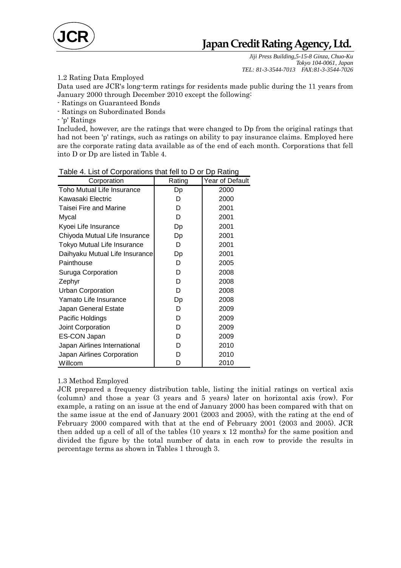

# **Japan Credit Rating Agency, Ltd.**

*Jiji Press Building,5-15-8 Ginza, Chuo-Ku Tokyo 104-0061, Japan TEL: 81-3-3544-7013 FAX:81-3-3544-7026* 

## 1.2 Rating Data Employed

Data used are JCR's long-term ratings for residents made public during the 11 years from January 2000 through December 2010 except the following:

- Ratings on Guaranteed Bonds

- Ratings on Subordinated Bonds

- 'p' Ratings

Included, however, are the ratings that were changed to Dp from the original ratings that had not been 'p' ratings, such as ratings on ability to pay insurance claims. Employed here are the corporate rating data available as of the end of each month. Corporations that fell into D or Dp are listed in Table 4.

| Corporation                    | Rating | <b>Year of Default</b> |
|--------------------------------|--------|------------------------|
| Toho Mutual Life Insurance     | Dp     | 2000                   |
| Kawasaki Electric              | D      | 2000                   |
| Taisei Fire and Marine         | D      | 2001                   |
| Mycal                          | D      | 2001                   |
| Kyoei Life Insurance           | Dp     | 2001                   |
| Chiyoda Mutual Life Insurance  | Dp     | 2001                   |
| Tokyo Mutual Life Insurance    | D      | 2001                   |
| Daihyaku Mutual Life Insurance | Dp     | 2001                   |
| Painthouse                     | D      | 2005                   |
| <b>Suruga Corporation</b>      | D      | 2008                   |
| Zephyr                         | D      | 2008                   |
| <b>Urban Corporation</b>       | D      | 2008                   |
| Yamato Life Insurance          | Dp     | 2008                   |
| Japan General Estate           | D      | 2009                   |
| Pacific Holdings               | D      | 2009                   |
| Joint Corporation              | D      | 2009                   |
| ES-CON Japan                   | D      | 2009                   |
| Japan Airlines International   | D      | 2010                   |
| Japan Airlines Corporation     | D      | 2010                   |
| Willcom                        | D      | 2010                   |

#### Table 4. List of Corporations that fell to D or Dp Rating

#### 1.3 Method Employed

JCR prepared a frequency distribution table, listing the initial ratings on vertical axis (column) and those a year (3 years and 5 years) later on horizontal axis (row). For example, a rating on an issue at the end of January 2000 has been compared with that on the same issue at the end of January 2001 (2003 and 2005), with the rating at the end of February 2000 compared with that at the end of February 2001 (2003 and 2005). JCR then added up a cell of all of the tables (10 years x 12 months) for the same position and divided the figure by the total number of data in each row to provide the results in percentage terms as shown in Tables 1 through 3.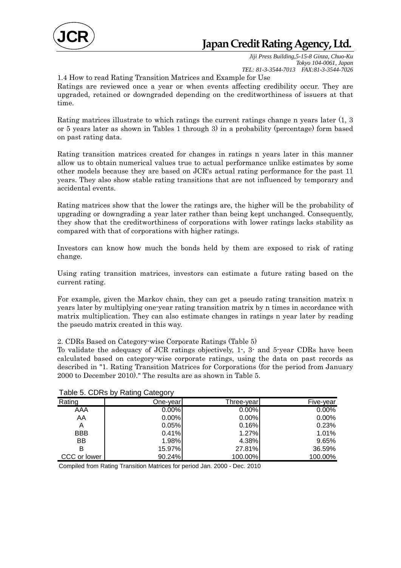

*Jiji Press Building,5-15-8 Ginza, Chuo-Ku Tokyo 104-0061, Japan TEL: 81-3-3544-7013 FAX:81-3-3544-7026* 

1.4 How to read Rating Transition Matrices and Example for Use

Ratings are reviewed once a year or when events affecting credibility occur. They are upgraded, retained or downgraded depending on the creditworthiness of issuers at that time.

Rating matrices illustrate to which ratings the current ratings change n years later (1, 3 or 5 years later as shown in Tables 1 through 3) in a probability (percentage) form based on past rating data.

Rating transition matrices created for changes in ratings n years later in this manner allow us to obtain numerical values true to actual performance unlike estimates by some other models because they are based on JCR's actual rating performance for the past 11 years. They also show stable rating transitions that are not influenced by temporary and accidental events.

Rating matrices show that the lower the ratings are, the higher will be the probability of upgrading or downgrading a year later rather than being kept unchanged. Consequently, they show that the creditworthiness of corporations with lower ratings lacks stability as compared with that of corporations with higher ratings.

Investors can know how much the bonds held by them are exposed to risk of rating change.

Using rating transition matrices, investors can estimate a future rating based on the current rating.

For example, given the Markov chain, they can get a pseudo rating transition matrix n years later by multiplying one-year rating transition matrix by n times in accordance with matrix multiplication. They can also estimate changes in ratings n year later by reading the pseudo matrix created in this way.

2. CDRs Based on Category-wise Corporate Ratings (Table 5)

To validate the adequacy of JCR ratings objectively, 1-, 3- and 5-year CDRs have been calculated based on category-wise corporate ratings, using the data on past records as described in "1. Rating Transition Matrices for Corporations (for the period from January 2000 to December 2010)." The results are as shown in Table 5.

|              | ັ<br>ັ    |             |           |
|--------------|-----------|-------------|-----------|
| Rating       | One-vearl | Three-vearl | Five-year |
| AAA          | 0.00%     | 0.00%       | 0.00%     |
| AA           | 0.00%     | 0.00%       | 0.00%     |
| Α            | 0.05%     | 0.16%       | 0.23%     |
| <b>BBB</b>   | 0.41%     | 1.27%       | 1.01%     |
| BB           | 1.98%     | 4.38%       | 9.65%     |
| в            | 15.97%    | 27.81%      | 36.59%    |
| CCC or lower | 90.24%    | 100.00%     | 100.00%   |

| Table 5. CDRs by Rating Category |  |  |  |
|----------------------------------|--|--|--|
|----------------------------------|--|--|--|

Compiled from Rating Transition Matrices for period Jan. 2000 - Dec. 2010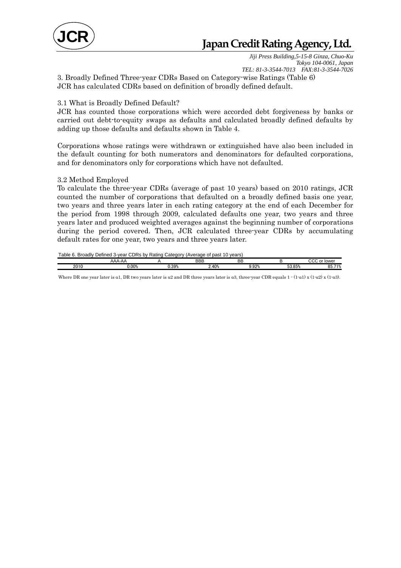

## **Japan Credit Rating Agency, Ltd.**

*Jiji Press Building,5-15-8 Ginza, Chuo-Ku Tokyo 104-0061, Japan TEL: 81-3-3544-7013 FAX:81-3-3544-7026* 

3. Broadly Defined Three-year CDRs Based on Category-wise Ratings (Table 6) JCR has calculated CDRs based on definition of broadly defined default.

#### 3.1 What is Broadly Defined Default?

JCR has counted those corporations which were accorded debt forgiveness by banks or carried out debt-to-equity swaps as defaults and calculated broadly defined defaults by adding up those defaults and defaults shown in Table 4.

Corporations whose ratings were withdrawn or extinguished have also been included in the default counting for both numerators and denominators for defaulted corporations, and for denominators only for corporations which have not defaulted.

#### 3.2 Method Employed

To calculate the three-year CDRs (average of past 10 years) based on 2010 ratings, JCR counted the number of corporations that defaulted on a broadly defined basis one year, two years and three years later in each rating category at the end of each December for the period from 1998 through 2009, calculated defaults one year, two years and three years later and produced weighted averages against the beginning number of corporations during the period covered. Then, JCR calculated three-year CDRs by accumulating default rates for one year, two years and three years later.

Table 6. Broadly Defined 3-year CDRs by Rating Category (Average of past 10 years)

|     | . |                        |                          |                                    |                   |                  |                                    |
|-----|---|------------------------|--------------------------|------------------------------------|-------------------|------------------|------------------------------------|
|     |   | AAA<br>₩               |                          | <b>DDD</b><br>- ססכ                | nг<br>ᄧ           |                  | $\sim$<br>- -<br>101101<br>™ клме. |
| 201 |   | 0 <sup>0</sup><br>…∪∪ത | <b>U</b> 30%<br>ັບ.ປປ ⁄⊍ | $\Lambda$ <sup>0</sup><br>-<br>. . | 0.29<br>ັບ.ບ<br>. | EQ OEM<br>JJ.OJ∧ | 740'<br>$\sim$ $-$<br>uu           |
|     |   |                        |                          |                                    |                   |                  |                                    |

Where DR one year later is α1, DR two years later is α2 and DR three years later is α3, three-year CDR equals 1 - (1-α1) x (1-α2) x (1-α3).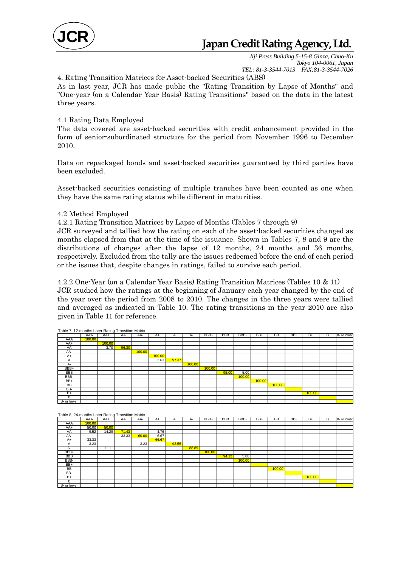

*Jiji Press Building,5-15-8 Ginza, Chuo-Ku Tokyo 104-0061, Japan TEL: 81-3-3544-7013 FAX:81-3-3544-7026* 

4. Rating Transition Matrices for Asset-backed Securities (ABS)

As in last year, JCR has made public the "Rating Transition by Lapse of Months" and "One-year (on a Calendar Year Basis) Rating Transitions" based on the data in the latest three years.

#### 4.1 Rating Data Employed

The data covered are asset-backed securities with credit enhancement provided in the form of senior-subordinated structure for the period from November 1996 to December 2010.

Data on repackaged bonds and asset-backed securities guaranteed by third parties have been excluded.

Asset-backed securities consisting of multiple tranches have been counted as one when they have the same rating status while different in maturities.

#### 4.2 Method Employed

4.2.1 Rating Transition Matrices by Lapse of Months (Tables 7 through 9)

JCR surveyed and tallied how the rating on each of the asset-backed securities changed as months elapsed from that at the time of the issuance. Shown in Tables 7, 8 and 9 are the distributions of changes after the lapse of 12 months, 24 months and 36 months, respectively. Excluded from the tally are the issues redeemed before the end of each period or the issues that, despite changes in ratings, failed to survive each period.

4.2.2 One-Year (on a Calendar Year Basis) Rating Transition Matrices (Tables 10 & 11) JCR studied how the ratings at the beginning of January each year changed by the end of the year over the period from 2008 to 2010. The changes in the three years were tallied and averaged as indicated in Table 10. The rating transitions in the year 2010 are also given in Table 11 for reference.

| Table 7. 12-months Later Rating Transition Matrix |        |        |       |        |        |       |        |        |            |        |        |           |     |        |   |             |
|---------------------------------------------------|--------|--------|-------|--------|--------|-------|--------|--------|------------|--------|--------|-----------|-----|--------|---|-------------|
|                                                   | AAA    | AA+    | AA    | AA-    | $A+$   | A     | A-     | BBB+   | <b>BBB</b> | BBB-   | BB+    | <b>BB</b> | BB- | $B+$   | B | B- or lower |
| AAA                                               | 100.00 |        |       |        |        |       |        |        |            |        |        |           |     |        |   |             |
| AA+                                               |        | 100.00 |       |        |        |       |        |        |            |        |        |           |     |        |   |             |
| AA                                                |        | 3.70   | 96.30 |        |        |       |        |        |            |        |        |           |     |        |   |             |
| AA-                                               |        |        |       | 100.00 |        |       |        |        |            |        |        |           |     |        |   |             |
| A+                                                |        |        |       |        | 100.00 |       |        |        |            |        |        |           |     |        |   |             |
| A                                                 |        |        |       |        | 2.63   | 97.37 |        |        |            |        |        |           |     |        |   |             |
| А-                                                |        |        |       |        |        |       | 100.00 |        |            |        |        |           |     |        |   |             |
| BBB+                                              |        |        |       |        |        |       |        | 100.00 |            |        |        |           |     |        |   |             |
| <b>BBB</b>                                        |        |        |       |        |        |       |        |        | 95.00      | 5.00   |        |           |     |        |   |             |
| BBB-                                              |        |        |       |        |        |       |        |        |            | 100.00 |        |           |     |        |   |             |
| BB+                                               |        |        |       |        |        |       |        |        |            |        | 100.00 |           |     |        |   |             |
| <b>BB</b>                                         |        |        |       |        |        |       |        |        |            |        |        | 100.00    |     |        |   |             |
| BB-                                               |        |        |       |        |        |       |        |        |            |        |        |           |     |        |   |             |
| $B+$                                              |        |        |       |        |        |       |        |        |            |        |        |           |     | 100.00 |   |             |
| B                                                 |        |        |       |        |        |       |        |        |            |        |        |           |     |        |   |             |
| B- or lower                                       |        |        |       |        |        |       |        |        |            |        |        |           |     |        |   |             |

| Table 8. 24-months Later Rating Transition Matrix |        |       |       |       |       |       |       |        |            |        |     |           |     |        |   |             |
|---------------------------------------------------|--------|-------|-------|-------|-------|-------|-------|--------|------------|--------|-----|-----------|-----|--------|---|-------------|
|                                                   | AAA    | AA+   | AA    | AA-   | $A+$  | A     | А-    | BBB+   | <b>BBB</b> | BBB-   | BB+ | <b>BB</b> | BB- | B+     | B | B- or lower |
| AAA                                               | 100.00 |       |       |       |       |       |       |        |            |        |     |           |     |        |   |             |
| AA+                                               | 50.00  | 50.00 |       |       |       |       |       |        |            |        |     |           |     |        |   |             |
| AA                                                | 9.52   | 14.29 | 71.43 |       | 4.76  |       |       |        |            |        |     |           |     |        |   |             |
| AA-                                               |        |       | 33.33 | 60.00 | 6.67  |       |       |        |            |        |     |           |     |        |   |             |
| $A+$                                              | 33.33  |       |       |       | 66.67 |       |       |        |            |        |     |           |     |        |   |             |
| Α                                                 | 3.23   |       |       | 3.23  |       | 93.55 |       |        |            |        |     |           |     |        |   |             |
| А-                                                |        | 11.11 |       |       |       |       | 88.89 |        |            |        |     |           |     |        |   |             |
| BBB+                                              |        |       |       |       |       |       |       | 100.00 |            |        |     |           |     |        |   |             |
| <b>BBB</b>                                        |        |       |       |       |       |       |       |        | 94.12      | 5.88   |     |           |     |        |   |             |
| BBB-                                              |        |       |       |       |       |       |       |        |            | 100.00 |     |           |     |        |   |             |
| BB+                                               |        |       |       |       |       |       |       |        |            |        |     |           |     |        |   |             |
| BB                                                |        |       |       |       |       |       |       |        |            |        |     | 100.00    |     |        |   |             |
| BB-                                               |        |       |       |       |       |       |       |        |            |        |     |           |     |        |   |             |
| $B+$                                              |        |       |       |       |       |       |       |        |            |        |     |           |     | 100.00 |   |             |
| B                                                 |        |       |       |       |       |       |       |        |            |        |     |           |     |        |   |             |
| B- or lower                                       |        |       |       |       |       |       |       |        |            |        |     |           |     |        |   |             |